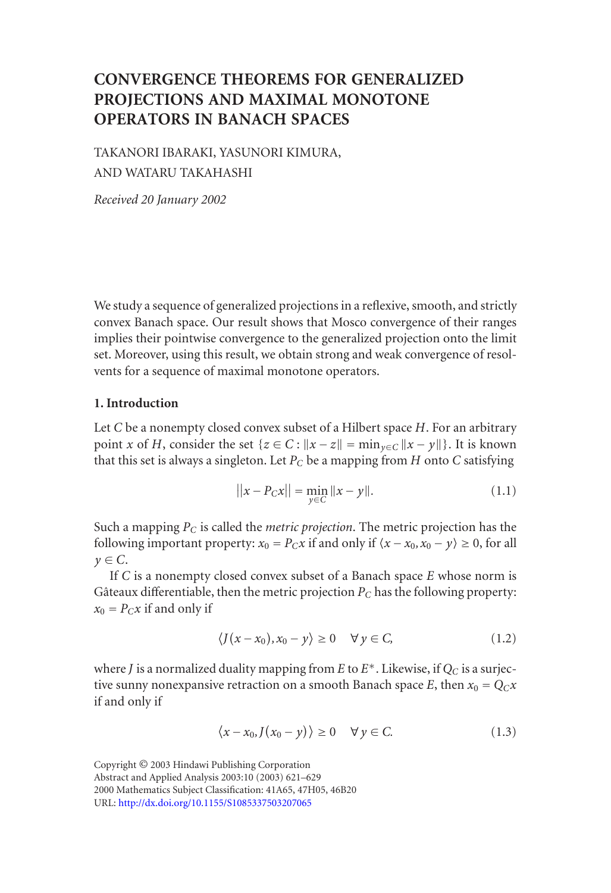# **CONVERGENCE THEOREMS FOR GENERALIZED PROJECTIONS AND MAXIMAL MONOTONE OPERATORS IN BANACH SPACES**

TAKANORI IBARAKI, YASUNORI KIMURA, AND WATARU TAKAHASHI

*Received 20 January 2002*

We study a sequence of generalized projections in a reflexive, smooth, and strictly convex Banach space. Our result shows that Mosco convergence of their ranges implies their pointwise convergence to the generalized projection onto the limit set. Moreover, using this result, we obtain strong and weak convergence of resolvents for a sequence of maximal monotone operators.

### **1. Introduction**

Let *C* be a nonempty closed convex subset of a Hilbert space *H*. For an arbitrary point *x* of *H*, consider the set { $z \in C$  :  $||x - z|| = \min_{y \in C} ||x - y||$ }. It is known that this set is always a singleton. Let  $P_C$  be a mapping from  $H$  onto  $C$  satisfying

$$
||x - P_C x|| = \min_{y \in C} ||x - y||. \tag{1.1}
$$

Such a mapping *PC* is called the *metric projection*. The metric projection has the following important property:  $x_0 = P_Cx$  if and only if  $\langle x - x_0, x_0 - y \rangle \ge 0$ , for all  $y \in C$ .

If *C* is a nonempty closed convex subset of a Banach space *E* whose norm is Gâteaux differentiable, then the metric projection  $P_C$  has the following property:  $x_0 = P_C x$  if and only if

$$
\langle J(x-x_0), x_0-y\rangle \ge 0 \quad \forall y \in C, \tag{1.2}
$$

where *J* [is](http://dx.doi.org/10.1155/S1085337503207065) [a](http://dx.doi.org/10.1155/S1085337503207065) [normalized](http://dx.doi.org/10.1155/S1085337503207065) [duality](http://dx.doi.org/10.1155/S1085337503207065) [mapping](http://dx.doi.org/10.1155/S1085337503207065) [fr](http://dx.doi.org/10.1155/S1085337503207065)om *E* to  $E^*$ . Likewise, if  $Q_C$  is a surjective sunny nonexpansive retraction on a smooth Banach space *E*, then  $x_0 = Q_C x$ if and only if

$$
\langle x - x_0, J(x_0 - y) \rangle \ge 0 \quad \forall y \in C. \tag{1.3}
$$

Copyright © 2003 Hindawi Publishing Corporation Abstract and Applied Analysis 2003:10 (2003) 621–629 2000 Mathematics Subject Classification: 41A65, 47H05, 46B20 URL: http://dx.doi.org/10.1155/S1085337503207065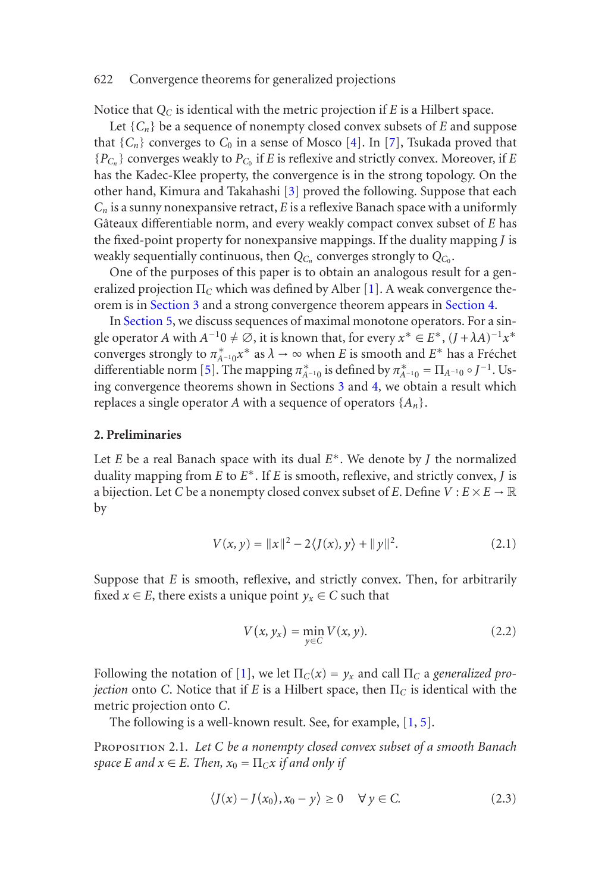Notice that *QC* is identical with the metric projection if *E* is a Hilbert space.

Let  $\{C_n\}$  be a sequence of nonempty closed convex subsets of *E* and suppose that  ${C_n}$  converges to  $C_0$  in a sense of Mosco [4]. [In](#page-8-0) [7], Tsukada proved that  ${P_{C_n}}$  con[verges wea](#page-2-0)kly to  $P_{C_0}$  if *E* is reflexive and strictly convex. [Moreover,](#page-3-0) if *E* has t[he Kadec-K](#page-5-0)lee property, the convergence is in the strong topology. On the other hand, Kimura and Takahashi [3] proved the following. Suppose that each *Cn* is a sunny nonexpansive retract, *E* is a reflexive Banach space with a uniformly Gâteaux differentiab[le](#page-8-1) norm, and every weakly compact convex subset of *E* has the fixed-point property for nonexpansive m[app](#page-2-0)ing[s. I](#page-3-0)f the duality mapping *J* is weakly sequentially continuous, then  $Q_{C_n}$  converges strongly to  $Q_{C_0}$ .

One of the purposes of this paper is to obtain an analogous result for a generalized projection Π*<sup>C</sup>* which was defined by Alber [1]. A weak convergence theorem is in Section 3 and a strong convergence theorem appears in Section 4.

In Section 5, we discuss sequences of maximal monotone operators. For a single operator *A* with  $A^{-1}0 \neq \emptyset$ , it is known that, for every  $x^* \in E^*$ ,  $(J + \lambda A)^{-1}x^*$ converges strongly to  $\pi^*_{A^{-1}0} x^*$  as  $\lambda \to \infty$  when *E* is smooth and  $E^*$  has a Fréchet differentiable norm [5]. The mapping  $\pi^*_{A^{-1}0}$  is defined by  $\pi^*_{A^{-1}0} = \Pi_{A^{-1}0} \circ J^{-1}$ . Using convergence theorems shown in Sections 3 and 4, we obtain a result which replaces a single operator *A* with a sequence of operators {*An*}.

### **2. Preliminaries**

Let *E* be a real Banach space with its dual *E*<sup>∗</sup>. We denote by *J* the normalized duality mapping from *E* to *E*<sup>∗</sup>. If *E* is smooth, reflexive, and strictly convex, *J* is a bijection. Let *C* be a nonempty closed convex subset of *E*. Define  $V : E \times E \to \mathbb{R}$ by

$$
V(x, y) = ||x||^2 - 2\langle J(x), y \rangle + ||y||^2.
$$
 (2.1)

<span id="page-1-0"></span>Suppose that *E* is smooth, reflexive, and strictly convex. [T](#page-8-0)[hen](#page-8-1), for arbitrarily fixed  $x \in E$ , there exists a unique point  $y_x \in C$  such that

$$
V(x, y_x) = \min_{y \in C} V(x, y).
$$
 (2.2)

Following the notation of [1], we let  $\Pi_C(x) = y_x$  and call  $\Pi_C$  a *generalized projection* onto *C*. Notice that if *E* is a Hilbert space, then Π*<sup>C</sup>* is identical with the metric projection onto *C*.

The following is a well-known result. See, for example, [1, 5].

Proposition 2.1. *Let C be a nonempty closed convex subset of a smooth Banach space E* and  $x \in E$ *. Then,*  $x_0 = \prod_C x$  *if and only if* 

$$
\langle J(x) - J(x_0), x_0 - y \rangle \ge 0 \quad \forall y \in C. \tag{2.3}
$$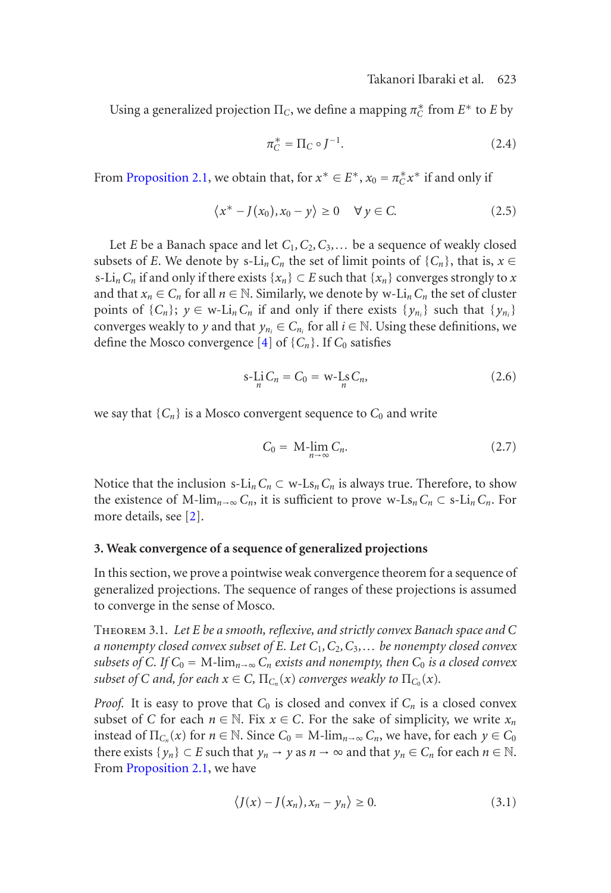### Takanori Ibaraki et al. 623

Using a generalized projection  $\Pi_C$ , we define a mapping  $\pi_C^*$  from  $E^*$  to  $E$  by

$$
\pi_C^* = \Pi_C \circ J^{-1}.\tag{2.4}
$$

From Proposition 2.1, we obtain that, for  $x^* \in E^*$ ,  $x_0 = \pi_C^* x^*$  if and only if

$$
\langle x^* - J(x_0), x_0 - y \rangle \ge 0 \quad \forall y \in C. \tag{2.5}
$$

Let *E* be a Banach space and let *C*1*,C*2*,C*3*,...* be a sequence of weakly closed subsets of *E*. We denote by s-Li<sub>n</sub>C<sub>n</sub> the set of limit points of { $C_n$ }, that is,  $x \in$ s-Li<sub>n</sub>C<sub>n</sub> if and only if there exists { $x_n$ } ⊂ *E* such that { $x_n$ } converges strongly to *x* and that  $x_n \in C_n$  for all  $n \in \mathbb{N}$ . Similarly, we denote by w-Li<sub>n</sub>  $C_n$  the set of cluster points of  $\{C_n\}$ ;  $y \in w$ -Li<sub>n</sub> $C_n$  if and only if there exists  $\{y_{n_i}\}$  such that  $\{y_{n_i}\}$ converges weakly to *y* and that  $y_{n_i} \in C_{n_i}$  for all  $i \in \mathbb{N}$ . Using these definitions, we define the Mosco convergence  $[4]$  of  $\{C_n\}$ . If  $C_0$  satisfies

$$
s\text{-Li }C_n = C_0 = w\text{-Ls }C_n,\tag{2.6}
$$

<span id="page-2-0"></span>we say that  ${C_n}$  is a Mosco convergent sequence to  $C_0$  and write

$$
C_0 = \mathrm{M}\underset{n\to\infty}{\mathrm{lim}}\,C_n. \tag{2.7}
$$

<span id="page-2-1"></span>Notice that the inclusion s- $Li_nC_n \subset w$ - $Ls_nC_n$  is always true. Therefore, to show the existence of M-lim<sub>n→∞</sub>  $C_n$ , it is sufficient to prove w-Ls<sub>n</sub>  $C_n \subset s$ -Li<sub>n</sub>  $C_n$ . For more details, see [2].

### **3. Weak convergence of a sequence of generalized projections**

In this section, we prove a pointwise weak convergence theorem for a sequence of generalized projections. The sequence of ranges of these projections is assumed to converge in the sense of Mosco.

Theo[rem](#page-1-0) 3.1. *Let E be a smooth, reflexive, and strictly convex Banach space and C a nonempty closed convex subset of E. Let C*1*,C*2*,C*3*,... be nonempty closed convex subsets of C. If*  $C_0 = M$ -lim<sub>*n*→∞</sub>  $C_n$  *exists and nonempty, then*  $C_0$  *is a closed convex subset of C and, for each*  $x \in C$ *,*  $\Pi_{C_n}(x)$  *converges weakly to*  $\Pi_{C_0}(x)$ *.* 

*Proof.* It is easy to prove that  $C_0$  is closed and convex if  $C_n$  is a closed convex subset of *C* for each  $n \in \mathbb{N}$ . Fix  $x \in C$ . For the sake of simplicity, we write  $x_n$ instead of  $\Pi_{C_n}(x)$  for  $n \in \mathbb{N}$ . Since  $C_0 = M$ -lim<sub> $n \to \infty$ </sub>  $C_n$ , we have, for each  $y \in C_0$ there exists  $\{y_n\} \subset E$  such that  $y_n \to y$  as  $n \to \infty$  and that  $y_n \in C_n$  for each  $n \in \mathbb{N}$ . From Proposition 2.1, we have

$$
\langle J(x) - J(x_n), x_n - y_n \rangle \ge 0.
$$
 (3.1)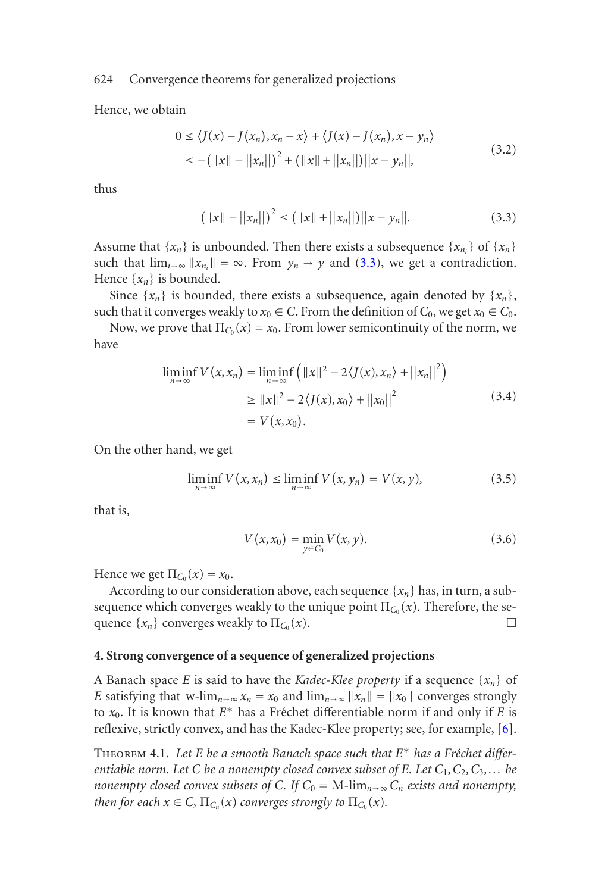Hence, we obtain

<span id="page-3-1"></span>
$$
0 \le \langle J(x) - J(x_n), x_n - x \rangle + \langle J(x) - J(x_n), x - y_n \rangle
$$
  
\n
$$
\le -(\|x\| - \|x_n\|)^2 + (\|x\| + \|x_n\|) \|x - y_n\|, \tag{3.2}
$$

thus

$$
\left(\|x\| - \|x_n\|\right)^2 \le \left(\|x\| + \|x_n\|\right)\|x - y_n\|.\tag{3.3}
$$

Assume that  $\{x_n\}$  is unbounded. Then there exists a subsequence  $\{x_{n_i}\}\$  of  $\{x_n\}$ such that  $\lim_{i\to\infty} ||x_{n_i}|| = \infty$ . From  $y_n \to y$  and (3.3), we get a contradiction. Hence  $\{x_n\}$  is bounded.

Since  $\{x_n\}$  is bounded, there exists a subsequence, again denoted by  $\{x_n\}$ , such that it converges weakly to  $x_0 \in C$ . From the definition of  $C_0$ , we get  $x_0 \in C_0$ .

Now, we prove that  $\Pi_{C_0}(x) = x_0$ . From lower semicontinuity of the norm, we have

$$
\liminf_{n \to \infty} V(x, x_n) = \liminf_{n \to \infty} \left( ||x||^2 - 2\langle J(x), x_n \rangle + ||x_n||^2 \right)
$$
  
\n
$$
\ge ||x||^2 - 2\langle J(x), x_0 \rangle + ||x_0||^2
$$
  
\n
$$
= V(x, x_0).
$$
\n(3.4)

On the other hand, we get

$$
\liminf_{n \to \infty} V(x, x_n) \le \liminf_{n \to \infty} V(x, y_n) = V(x, y), \tag{3.5}
$$

<span id="page-3-0"></span>that is,

$$
V(x, x_0) = \min_{y \in C_0} V(x, y).
$$
 (3.6)

Hence we get  $\Pi_{C_0}(x) = x_0$ .

According to our consideration above, each sequence  $\{x_n\}$  has, in turn, a s[ub](#page-8-3)sequence which converges weakly to the unique point  $\Pi_{C_0}(x)$ . Therefore, the sequence  $\{x_n\}$  converges weakly to  $\Pi_{C_0}(x)$ .

# **4. Strong convergence of a sequence of generalized projections**

A Banach space *E* is said to have the *Kadec-Klee property* if a sequence {*xn*} of *E* satisfying that w-lim<sub>*n*→∞</sub>  $x_n = x_0$  and  $\lim_{n\to\infty} ||x_n|| = ||x_0||$  converges strongly to  $x_0$ . It is known that  $E^*$  has a Fréchet differentiable norm if and only if *E* is reflexive, strictly convex, and has the Kadec-Klee property; see, for example, [6].

THEOREM 4.1. Let *E* be a smooth Banach space such that  $E^*$  has a Fréchet differ*entiable norm. Let C be a nonempty closed convex subset of E. Let C*1*,C*2*,C*3*,... be nonempty closed convex subsets of C. If*  $C_0 = M$ -lim<sub>*n*→∞</sub>  $C_n$  *exists and nonempty, then for each*  $x \in C$ *,*  $\Pi_{C_n}(x)$  *converges strongly to*  $\Pi_{C_0}(x)$ *.*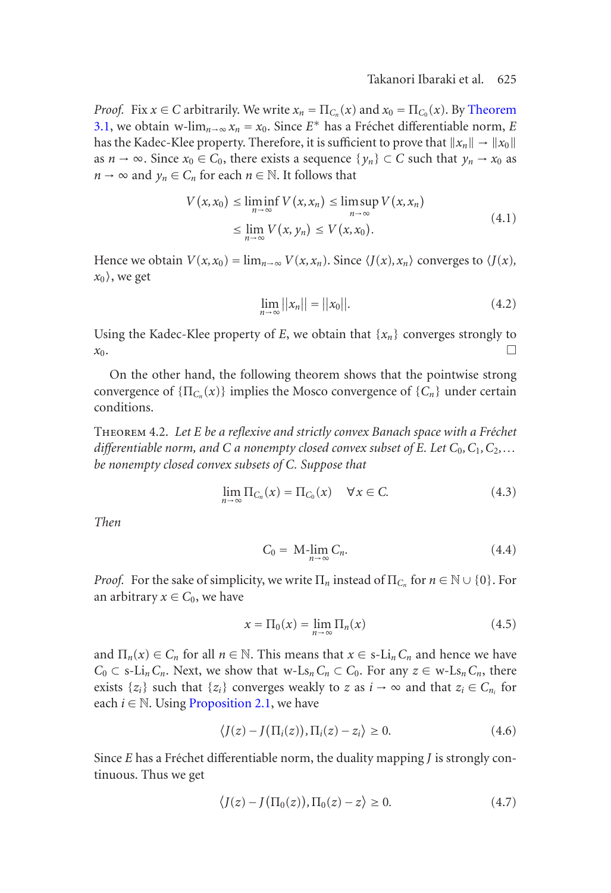### Takanori Ibaraki et al. 625

*Proof.* Fix  $x \in C$  arbitrarily. We write  $x_n = \Pi_{C_n}(x)$  and  $x_0 = \Pi_{C_0}(x)$ . By Theorem 3.1, we obtain w-lim<sub>*n*→∞</sub>  $x_n = x_0$ . Since  $E^*$  has a Fréchet differentiable norm, *E* has the Kadec-Klee property. Therefore, it is sufficient to prove that  $||x_n|| \to ||x_0||$ as  $n \to \infty$ . Since  $x_0 \in C_0$ , there exists a sequence  $\{y_n\} \subset C$  such that  $y_n \to x_0$  as  $n \to \infty$  and  $y_n \in C_n$  for each  $n \in \mathbb{N}$ . It follows that

$$
V(x, x_0) \le \liminf_{n \to \infty} V(x, x_n) \le \limsup_{n \to \infty} V(x, x_n)
$$
  
\n
$$
\le \lim_{n \to \infty} V(x, y_n) \le V(x, x_0).
$$
\n(4.1)

Hence we obtain  $V(x, x_0) = \lim_{n \to \infty} V(x, x_n)$ . Since  $\langle J(x), x_n \rangle$  converges to  $\langle J(x),$  $x_0$ , we get

$$
\lim_{n \to \infty} ||x_n|| = ||x_0||. \tag{4.2}
$$

Using the Kadec-Klee property of  $E$ , we obtain that  $\{x_n\}$  converges strongly to  $x_0$ .

On the other hand, the following theorem shows that the pointwise strong convergence of  $\{\Pi_{C_n}(x)\}$  implies the Mosco convergence of  $\{C_n\}$  under certain conditions.

THEOREM 4.2. Let *E* be a reflexive and strictly convex Banach space with a Fréchet *differentiable norm, and C a nonempty closed convex subset of E. Let*  $C_0$ *,*  $C_1$ *,*  $C_2$ *,... be nonempty closed convex subsets of C. Suppose that*

$$
\lim_{n \to \infty} \Pi_{C_n}(x) = \Pi_{C_0}(x) \quad \forall x \in C. \tag{4.3}
$$

*Then*

$$
C_0 = \mathrm{M}\text{-}\lim_{n \to \infty} C_n. \tag{4.4}
$$

*Proof.* For the sake of simplicity, we write  $\Pi_n$  instead of  $\Pi_{C_n}$  for  $n \in \mathbb{N} \cup \{0\}$ . For an arbitrary  $x \in C_0$ , we have

$$
x = \Pi_0(x) = \lim_{n \to \infty} \Pi_n(x) \tag{4.5}
$$

and  $\Pi_n(x) \in C_n$  for all  $n \in \mathbb{N}$ . This means that  $x \in s\text{-Li}_nC_n$  and hence we have  $C_0$  ⊂ s-Li<sub>n</sub>C<sub>n</sub>. Next, we show that w-Ls<sub>n</sub>C<sub>n</sub> ⊂ C<sub>0</sub>. For any  $z \in W$ -Ls<sub>n</sub>C<sub>n</sub>, there exists  $\{z_i\}$  such that  $\{z_i\}$  converges weakly to *z* as  $i \to \infty$  and that  $z_i \in C_{n_i}$  for each  $i \in \mathbb{N}$ . Using Proposition 2.1, we have

$$
\langle J(z) - J(\Pi_i(z)), \Pi_i(z) - z_i \rangle \ge 0.
$$
\n(4.6)

Since  $E$  has a Fréchet differentiable norm, the duality mapping  $J$  is strongly continuous. Thus we get

$$
\langle J(z) - J(\Pi_0(z)), \Pi_0(z) - z \rangle \ge 0. \tag{4.7}
$$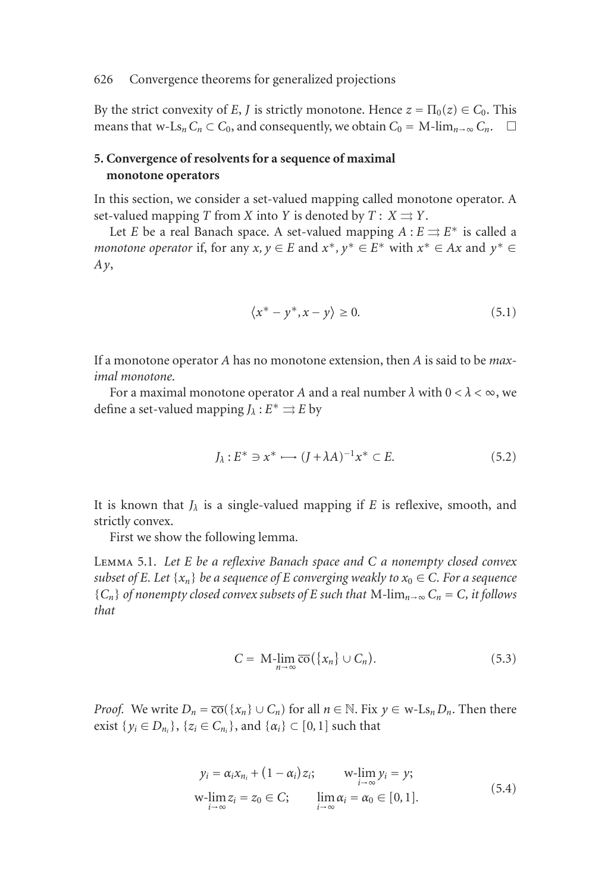By the strict convexity of *E*, *J* is strictly monotone. Hence  $z = \Pi_0(z) \in C_0$ . This means that w-Ls<sub>n</sub>  $C_n \subset C_0$ , and consequently, we obtain  $C_0 = M$ -lim<sub>n→∞</sub>  $C_n$ .  $\Box$ 

## <span id="page-5-0"></span>**5. Convergence of resolvents for a sequence of maximal monotone operators**

In this section, we consider a set-valued mapping called monotone operator. A set-valued mapping *T* from *X* into *Y* is denoted by  $T: X \rightrightarrows Y$ .

Let *E* be a real Banach space. A set-valued mapping  $A : E \rightrightarrows E^*$  is called a *monotone operator* if, for any *x*,  $y \in E$  and  $x^*$ ,  $y^* \in E^*$  with  $x^* \in Ax$  and  $y^* \in E$ *Ay*,

$$
\langle x^* - y^*, x - y \rangle \ge 0. \tag{5.1}
$$

If a monotone operator *A* has no monotone extension, then *A* is said to be *maximal monotone*.

For a maximal monotone operator *A* and a real number  $\lambda$  with  $0 < \lambda < \infty$ , we define a set-valued mapping  $J_\lambda : E^* \rightrightarrows E$  by

$$
J_{\lambda}: E^* \ni x^* \longrightarrow (J + \lambda A)^{-1} x^* \subset E. \tag{5.2}
$$

It is known that *Jλ* is a single-valued mapping if *E* is reflexive, smooth, and strictly convex.

First we show the following lemma.

Lemma 5.1. *Let E be a reflexive Banach space and C a nonempty closed convex subset of E. Let*  $\{x_n\}$  *be a sequence of E converging weakly to*  $x_0 \in C$ *. For a sequence*  ${C_n}$  *of nonempty closed convex subsets of E such that* M-lim<sub>*n*→∞</sub>  $C_n = C$ *, it follows that*

$$
C = \mathrm{M}\text{-}\lim_{n \to \infty} \overline{\mathrm{co}}\left(\{x_n\} \cup C_n\right). \tag{5.3}
$$

*Proof.* We write  $D_n = \overline{co}(\{x_n\} \cup C_n)$  for all  $n \in \mathbb{N}$ . Fix  $y \in w$ -Ls<sub>n</sub>  $D_n$ . Then there exist {*y<sub>i</sub>* ∈ *D<sub>n<sub>i</sub>*</sub>}, {*z<sub>i</sub>* ∈ *C<sub>n<sub>i</sub></sub>*}, and {*α<sub>i</sub>*} ⊂ [0, 1] such that

$$
y_i = \alpha_i x_{n_i} + (1 - \alpha_i) z_i; \qquad \text{w-lim } y_i = y;
$$
  
w-lim  $z_i = z_0 \in C;$  
$$
\lim_{i \to \infty} \alpha_i = \alpha_0 \in [0, 1].
$$
 (5.4)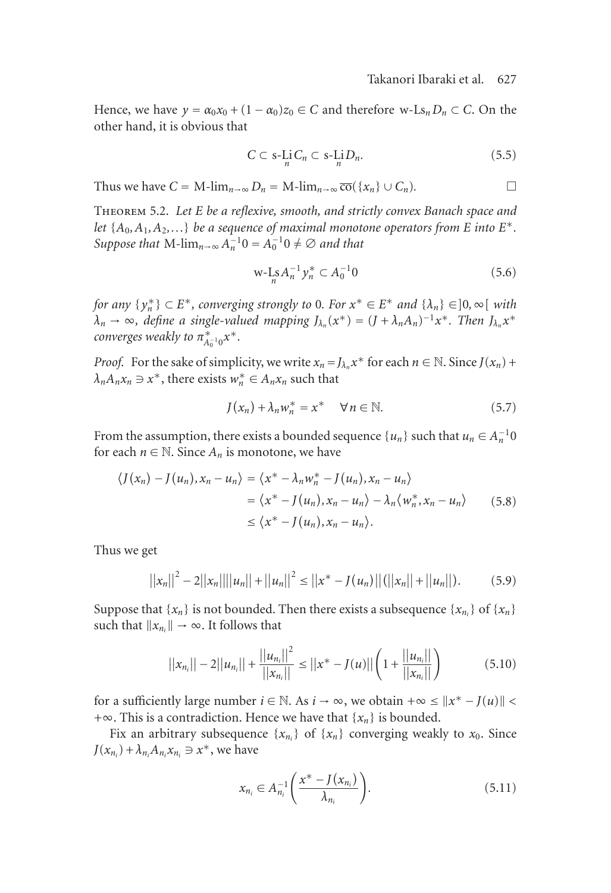Hence, we have  $y = \alpha_0 x_0 + (1 - \alpha_0) z_0 \in C$  and therefore w-Ls<sub>n</sub>  $D_n \subset C$ . On the other hand, it is obvious that

$$
C \subset \mathbf{s}\text{-}\mathrm{Li}\,C_n \subset \mathbf{s}\text{-}\mathrm{Li}\,D_n. \tag{5.5}
$$

<span id="page-6-0"></span>Thus we have  $C = M$ -lim<sub>*n*→∞</sub>  $D_n = M$ -lim<sub>*n*→∞</sub>  $\overline{co}(\{x_n\} \cup C_n)$ .

Theorem 5.2. *Let E be a reflexive, smooth, and strictly convex Banach space and let*  $\{A_0, A_1, A_2, \ldots\}$  *be a sequence of maximal monotone operators from E into*  $E^*$ *. Suppose that*  $M$ - $\lim_{n\to\infty} A_n^{-1}0 = A_0^{-1}0 \neq \emptyset$  and that

$$
\mathrm{w}\text{-}\mathrm{L}_n A_n^{-1} y_n^* \subset A_0^{-1} 0 \tag{5.6}
$$

*for any*  $\{y_n^*\} \subset E^*$ , converging strongly to 0. For  $x^* \in E^*$  and  $\{\lambda_n\} \in ]0, \infty[$  with  $\lambda_n \to \infty$ , define a single-valued mapping  $J_{\lambda_n}(x^*) = (J + \lambda_n A_n)^{-1} x^*$ . Then  $J_{\lambda_n} x^*$ *converges weakly to*  $\pi_{A_0^{-1}0}^* x^*$ .

*Proof.* For the sake of simplicity, we write  $x_n = J_{\lambda_n} x^*$  for each  $n \in \mathbb{N}$ . Since  $J(x_n)$  +  $\lambda_n A_n x_n \ni x^*$ , there exists  $w_n^* \in A_n x_n$  such that

$$
J(x_n) + \lambda_n w_n^* = x^* \quad \forall n \in \mathbb{N}.
$$
 (5.7)

From the assumption, there exists a bounded sequence  $\{u_n\}$  such that  $u_n \in A_n^{-1}$ for each  $n \in \mathbb{N}$ . Since  $A_n$  is monotone, we have

$$
\langle J(x_n) - J(u_n), x_n - u_n \rangle = \langle x^* - \lambda_n w_n^* - J(u_n), x_n - u_n \rangle
$$
  
=  $\langle x^* - J(u_n), x_n - u_n \rangle - \lambda_n \langle w_n^*, x_n - u_n \rangle$  (5.8)  
 $\leq \langle x^* - J(u_n), x_n - u_n \rangle.$ 

Thus we get

$$
||x_n||^2 - 2||x_n|| ||u_n|| + ||u_n||^2 \le ||x^* - J(u_n)||(||x_n|| + ||u_n||). \tag{5.9}
$$

Suppose that  $\{x_n\}$  is not bounded. Then there exists a subsequence  $\{x_{n_i}\}\$  of  $\{x_n\}$ such that  $||x_{n_i}|| \to \infty$ . It follows that

$$
||x_{n_i}|| - 2||u_{n_i}|| + \frac{||u_{n_i}||^2}{||x_{n_i}||} \le ||x^* - J(u)||\left(1 + \frac{||u_{n_i}||}{||x_{n_i}||}\right) \tag{5.10}
$$

for a sufficiently large number  $i \in \mathbb{N}$ . As  $i \to \infty$ , we obtain  $+\infty \le ||x^* - J(u)||$ +∞. This is a contradiction. Hence we have that {*xn*} is bounded.

Fix an arbitrary subsequence  $\{x_{n_i}\}\$  of  $\{x_n\}$  converging weakly to  $x_0$ . Since  $J(x_{n_i}) + \lambda_{n_i} A_{n_i} x_{n_i} \ni x^*$ , we have

$$
x_{n_i} \in A_{n_i}^{-1} \left( \frac{x^* - J(x_{n_i})}{\lambda_{n_i}} \right). \tag{5.11}
$$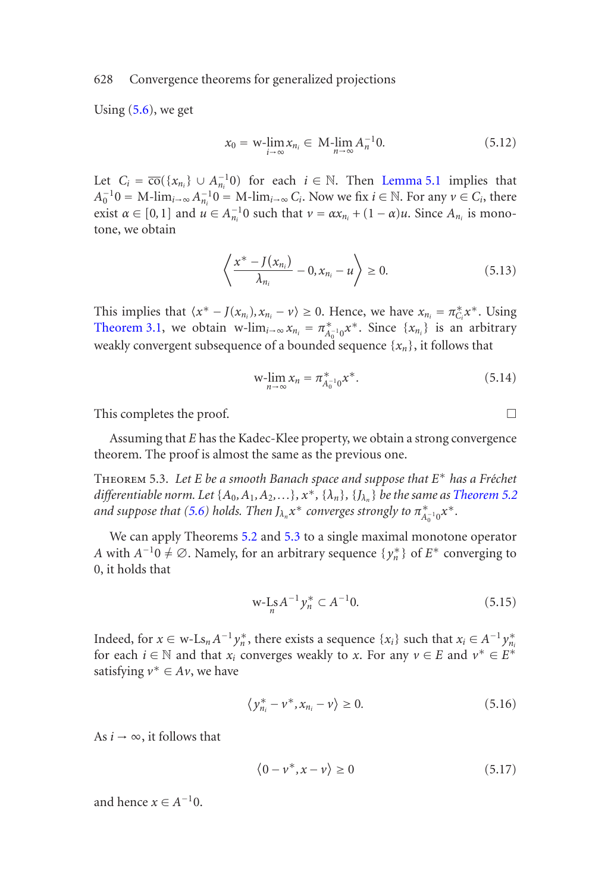Using  $(5.6)$ , we get

$$
x_0 = \mathbf{w}\text{-}\lim_{i \to \infty} x_{n_i} \in \mathbf{M}\text{-}\lim_{n \to \infty} A_n^{-1} \mathbf{0}.\tag{5.12}
$$

[Let](#page-2-1)  $C_i = \overline{co}(\{x_{n_i}\} \cup A_{n_i}^{-1}0)$  for each  $i \in \mathbb{N}$ . Then Lemma 5.1 implies that  $A_0^{-1}0 = M$ -lim<sub>*i*→∞</sub>  $A_{n_i}^{-1}0 = M$ -lim<sub>*i→∞</sub>*  $C_i$ . Now we fix  $i \in \mathbb{N}$ . For any  $\nu \in C_i$ , there</sub> exist  $\alpha \in [0,1]$  and  $\mu \in A_{n_i}^{-1}$  such that  $\nu = \alpha x_{n_i} + (1 - \alpha)\mu$ . Since  $A_{n_i}$  is monotone, we obtain

$$
\left\langle \frac{x^* - J(x_{n_i})}{\lambda_{n_i}} - 0, x_{n_i} - u \right\rangle \ge 0.
$$
 (5.13)

<span id="page-7-0"></span>This implies that  $\langle x^* - J(x_{n_i}), x_{n_i} - v \rangle \ge 0$ . Hence, we have  $x_{n_i} = \pi_{C_i}^* x^*$ . Using Theorem 3.1, we obtain w-lim<sub>*i*→∞</sub>  $x_{n_i} = \pi_{A_0^{-1}0}^* x^*$ . Since  $\{x_{n_i}\}\$ is an arbitrary weakly convergent subsequence of a bounded sequence  $\{x_n\}$ , it foll[ows that](#page-6-0)

$$
w\text{-}\lim_{n\to\infty}x_n=\pi_{A_0^{-1}0}^*x^*.\tag{5.14}
$$

This completes the proof.

Assuming that *E* has the Kadec-Klee property, we obtain a strong convergence theorem. The proof is almost the same as the previous one.

Theorem 5.3. *Let E be a smooth Banach space and suppose that E*<sup>∗</sup> *has a Fr´echet differentiable norm. Let*  $\{A_0, A_1, A_2, \ldots\}$ *,*  $x^*$ *,*  $\{\lambda_n\}$ *,*  $\{J_{\lambda_n}\}$  *be the same as Theorem 5.2 and suppose that (5.6) holds. Then*  $J_{\lambda_n} x^*$  *converges strongly to*  $\pi_{A_0^{-1}0}^* x^*$ *.* 

We can apply Theorems 5.2 and 5.3 to a single maximal monotone operator *A* with  $A^{-1}0 \neq \emptyset$ . Namely, for an arbitrary sequence  $\{y_n^*\}$  of  $E^*$  converging to 0, it holds that

$$
\text{w-Ls}A^{-1}\mathbf{y}_n^* \subset A^{-1}0. \tag{5.15}
$$

Indeed, for  $x \in w$ -Ls<sub>n</sub>  $A^{-1}y_n^*$ , there exists a sequence  $\{x_i\}$  such that  $x_i \in A^{-1}y_{n_i}^*$ for each  $i \in \mathbb{N}$  and that  $x_i$  converges weakly to *x*. For any  $v \in E$  and  $v^* \in E^*$ satisfying  $v^* \in Av$ , we have

$$
\langle y_{n_i}^* - v^*, x_{n_i} - v \rangle \ge 0. \tag{5.16}
$$

As  $i \rightarrow \infty$ , it follows that

$$
\langle 0 - \nu^*, x - \nu \rangle \ge 0 \tag{5.17}
$$

and hence  $x \in A^{-1}0$ .